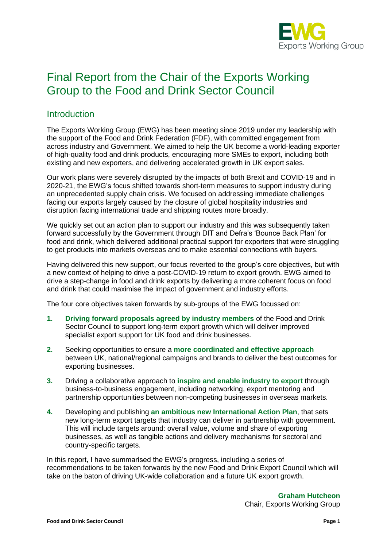

# Final Report from the Chair of the Exports Working Group to the Food and Drink Sector Council

# **Introduction**

The Exports Working Group (EWG) has been meeting since 2019 under my leadership with the support of the Food and Drink Federation (FDF), with committed engagement from across industry and Government. We aimed to help the UK become a world-leading exporter of high-quality food and drink products, encouraging more SMEs to export, including both existing and new exporters, and delivering accelerated growth in UK export sales.

Our work plans were severely disrupted by the impacts of both Brexit and COVID-19 and in 2020-21, the EWG's focus shifted towards short-term measures to support industry during an unprecedented supply chain crisis. We focused on addressing immediate challenges facing our exports largely caused by the closure of global hospitality industries and disruption facing international trade and shipping routes more broadly.

We quickly set out an action plan to support our industry and this was subsequently taken forward successfully by the Government through DIT and Defra's 'Bounce Back Plan' for food and drink, which delivered additional practical support for exporters that were struggling to get products into markets overseas and to make essential connections with buyers.

Having delivered this new support, our focus reverted to the group's core objectives, but with a new context of helping to drive a post-COVID-19 return to export growth. EWG aimed to drive a step-change in food and drink exports by delivering a more coherent focus on food and drink that could maximise the impact of government and industry efforts.

The four core objectives taken forwards by sub-groups of the EWG focussed on:

- **1. Driving forward proposals agreed by industry members** of the Food and Drink Sector Council to support long-term export growth which will deliver improved specialist export support for UK food and drink businesses.
- **2.** Seeking opportunities to ensure a **more coordinated and effective approach** between UK, national/regional campaigns and brands to deliver the best outcomes for exporting businesses.
- **3.** Driving a collaborative approach to **inspire and enable industry to export** through business-to-business engagement, including networking, export mentoring and partnership opportunities between non-competing businesses in overseas markets.
- **4.** Developing and publishing **an ambitious new International Action Plan**, that sets new long-term export targets that industry can deliver in partnership with government. This will include targets around: overall value, volume and share of exporting businesses, as well as tangible actions and delivery mechanisms for sectoral and country-specific targets.

In this report, I have summarised the EWG's progress, including a series of recommendations to be taken forwards by the new Food and Drink Export Council which will take on the baton of driving UK-wide collaboration and a future UK export growth.

> **Graham Hutcheon** Chair, Exports Working Group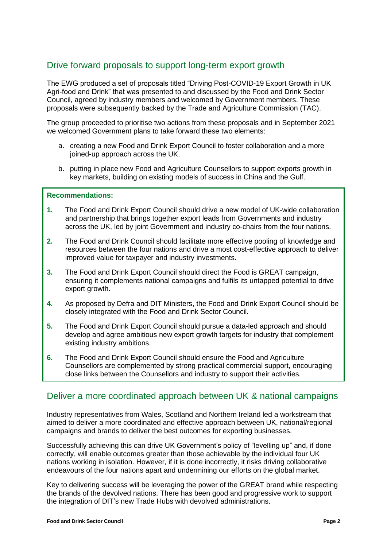# Drive forward proposals to support long-term export growth

The EWG produced a set of proposals titled "Driving Post-COVID-19 Export Growth in UK Agri-food and Drink" that was presented to and discussed by the Food and Drink Sector Council, agreed by industry members and welcomed by Government members. These proposals were subsequently backed by the Trade and Agriculture Commission (TAC).

The group proceeded to prioritise two actions from these proposals and in September 2021 we welcomed Government plans to take forward these two elements:

- a. creating a new Food and Drink Export Council to foster collaboration and a more joined-up approach across the UK.
- b. putting in place new Food and Agriculture Counsellors to support exports growth in key markets, building on existing models of success in China and the Gulf.

#### **Recommendations:**

- **1.** The Food and Drink Export Council should drive a new model of UK-wide collaboration and partnership that brings together export leads from Governments and industry across the UK, led by joint Government and industry co-chairs from the four nations.
- **2.** The Food and Drink Council should facilitate more effective pooling of knowledge and resources between the four nations and drive a most cost-effective approach to deliver improved value for taxpayer and industry investments.
- **3.** The Food and Drink Export Council should direct the Food is GREAT campaign, ensuring it complements national campaigns and fulfils its untapped potential to drive export growth.
- **4.** As proposed by Defra and DIT Ministers, the Food and Drink Export Council should be closely integrated with the Food and Drink Sector Council.
- **5.** The Food and Drink Export Council should pursue a data-led approach and should develop and agree ambitious new export growth targets for industry that complement existing industry ambitions.
- **6.** The Food and Drink Export Council should ensure the Food and Agriculture Counsellors are complemented by strong practical commercial support, encouraging close links between the Counsellors and industry to support their activities.

# Deliver a more coordinated approach between UK & national campaigns

Industry representatives from Wales, Scotland and Northern Ireland led a workstream that aimed to deliver a more coordinated and effective approach between UK, national/regional campaigns and brands to deliver the best outcomes for exporting businesses.

Successfully achieving this can drive UK Government's policy of "levelling up" and, if done correctly, will enable outcomes greater than those achievable by the individual four UK nations working in isolation. However, if it is done incorrectly, it risks driving collaborative endeavours of the four nations apart and undermining our efforts on the global market.

Key to delivering success will be leveraging the power of the GREAT brand while respecting the brands of the devolved nations. There has been good and progressive work to support the integration of DIT's new Trade Hubs with devolved administrations.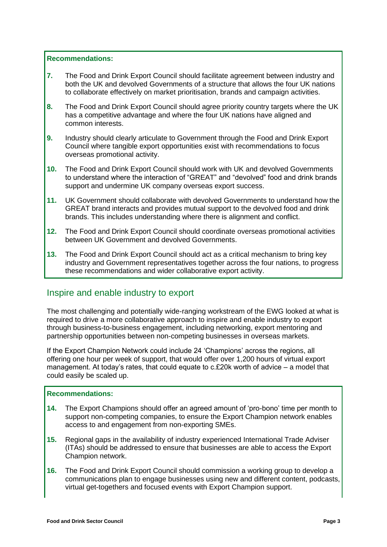#### **Recommendations:**

- **7.** The Food and Drink Export Council should facilitate agreement between industry and both the UK and devolved Governments of a structure that allows the four UK nations to collaborate effectively on market prioritisation, brands and campaign activities.
- **8.** The Food and Drink Export Council should agree priority country targets where the UK has a competitive advantage and where the four UK nations have aligned and common interests.
- **9.** Industry should clearly articulate to Government through the Food and Drink Export Council where tangible export opportunities exist with recommendations to focus overseas promotional activity.
- **10.** The Food and Drink Export Council should work with UK and devolved Governments to understand where the interaction of "GREAT" and "devolved" food and drink brands support and undermine UK company overseas export success.
- **11.** UK Government should collaborate with devolved Governments to understand how the GREAT brand interacts and provides mutual support to the devolved food and drink brands. This includes understanding where there is alignment and conflict.
- **12.** The Food and Drink Export Council should coordinate overseas promotional activities between UK Government and devolved Governments.
- **13.** The Food and Drink Export Council should act as a critical mechanism to bring key industry and Government representatives together across the four nations, to progress these recommendations and wider collaborative export activity.

# Inspire and enable industry to export

The most challenging and potentially wide-ranging workstream of the EWG looked at what is required to drive a more collaborative approach to inspire and enable industry to export through business-to-business engagement, including networking, export mentoring and partnership opportunities between non-competing businesses in overseas markets.

If the Export Champion Network could include 24 'Champions' across the regions, all offering one hour per week of support, that would offer over 1,200 hours of virtual export management. At today's rates, that could equate to c.£20k worth of advice – a model that could easily be scaled up.

#### **Recommendations:**

- **14.** The Export Champions should offer an agreed amount of 'pro-bono' time per month to support non-competing companies, to ensure the Export Champion network enables access to and engagement from non-exporting SMEs.
- **15.** Regional gaps in the availability of industry experienced International Trade Adviser (ITAs) should be addressed to ensure that businesses are able to access the Export Champion network.
- **16.** The Food and Drink Export Council should commission a working group to develop a communications plan to engage businesses using new and different content, podcasts, virtual get-togethers and focused events with Export Champion support.